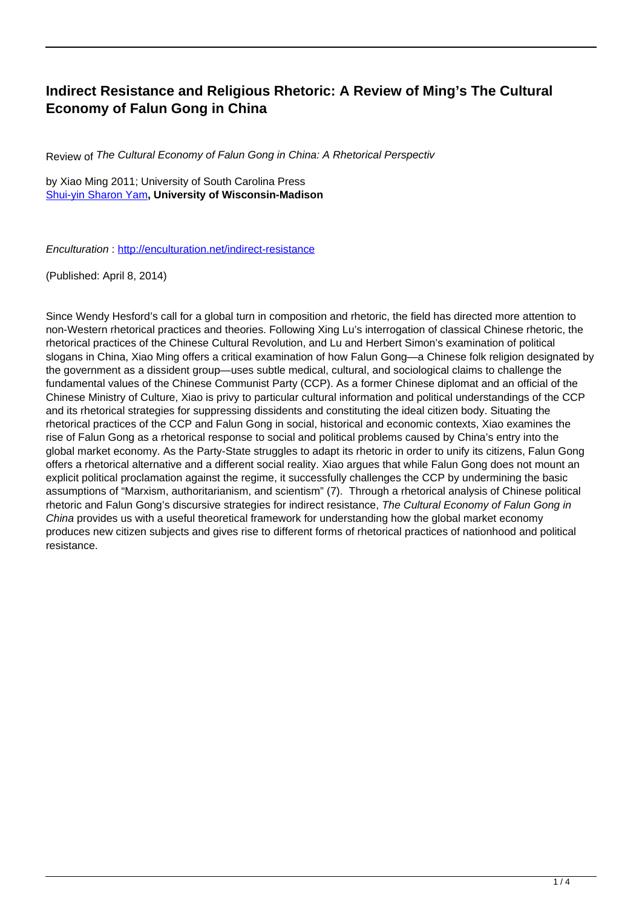## **Indirect Resistance and Religious Rhetoric: A Review of Ming's The Cultural Economy of Falun Gong in China**

Review of The Cultural Economy of Falun Gong in China: A Rhetorical Perspectiv

by Xiao Ming 2011; University of South Carolina Press [Shui-yin Sharon Yam](http://www.enculturation.net/user/16041)**, University of Wisconsin-Madison**

Enculturation :<http://enculturation.net/indirect-resistance>

(Published: April 8, 2014)

Since Wendy Hesford's call for a global turn in composition and rhetoric, the field has directed more attention to non-Western rhetorical practices and theories. Following Xing Lu's interrogation of classical Chinese rhetoric, the rhetorical practices of the Chinese Cultural Revolution, and Lu and Herbert Simon's examination of political slogans in China, Xiao Ming offers a critical examination of how Falun Gong—a Chinese folk religion designated by the government as a dissident group—uses subtle medical, cultural, and sociological claims to challenge the fundamental values of the Chinese Communist Party (CCP). As a former Chinese diplomat and an official of the Chinese Ministry of Culture, Xiao is privy to particular cultural information and political understandings of the CCP and its rhetorical strategies for suppressing dissidents and constituting the ideal citizen body. Situating the rhetorical practices of the CCP and Falun Gong in social, historical and economic contexts, Xiao examines the rise of Falun Gong as a rhetorical response to social and political problems caused by China's entry into the global market economy. As the Party-State struggles to adapt its rhetoric in order to unify its citizens, Falun Gong offers a rhetorical alternative and a different social reality. Xiao argues that while Falun Gong does not mount an explicit political proclamation against the regime, it successfully challenges the CCP by undermining the basic assumptions of "Marxism, authoritarianism, and scientism" (7). Through a rhetorical analysis of Chinese political rhetoric and Falun Gong's discursive strategies for indirect resistance, The Cultural Economy of Falun Gong in China provides us with a useful theoretical framework for understanding how the global market economy produces new citizen subjects and gives rise to different forms of rhetorical practices of nationhood and political resistance.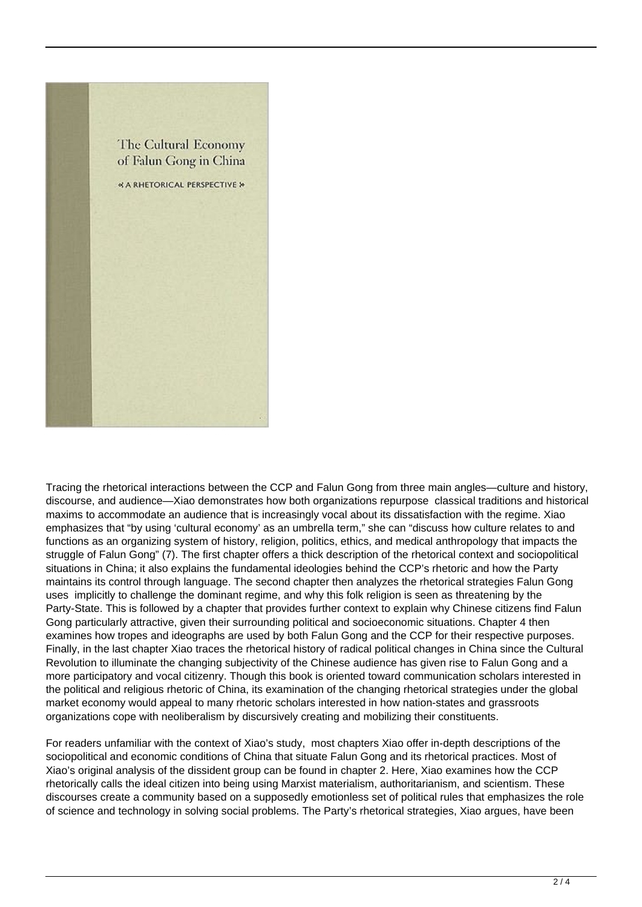

Tracing the rhetorical interactions between the CCP and Falun Gong from three main angles—culture and history, discourse, and audience—Xiao demonstrates how both organizations repurpose classical traditions and historical maxims to accommodate an audience that is increasingly vocal about its dissatisfaction with the regime. Xiao emphasizes that "by using 'cultural economy' as an umbrella term," she can "discuss how culture relates to and functions as an organizing system of history, religion, politics, ethics, and medical anthropology that impacts the struggle of Falun Gong" (7). The first chapter offers a thick description of the rhetorical context and sociopolitical situations in China; it also explains the fundamental ideologies behind the CCP's rhetoric and how the Party maintains its control through language. The second chapter then analyzes the rhetorical strategies Falun Gong uses implicitly to challenge the dominant regime, and why this folk religion is seen as threatening by the Party-State. This is followed by a chapter that provides further context to explain why Chinese citizens find Falun Gong particularly attractive, given their surrounding political and socioeconomic situations. Chapter 4 then examines how tropes and ideographs are used by both Falun Gong and the CCP for their respective purposes. Finally, in the last chapter Xiao traces the rhetorical history of radical political changes in China since the Cultural Revolution to illuminate the changing subjectivity of the Chinese audience has given rise to Falun Gong and a more participatory and vocal citizenry. Though this book is oriented toward communication scholars interested in the political and religious rhetoric of China, its examination of the changing rhetorical strategies under the global market economy would appeal to many rhetoric scholars interested in how nation-states and grassroots organizations cope with neoliberalism by discursively creating and mobilizing their constituents.

For readers unfamiliar with the context of Xiao's study, most chapters Xiao offer in-depth descriptions of the sociopolitical and economic conditions of China that situate Falun Gong and its rhetorical practices. Most of Xiao's original analysis of the dissident group can be found in chapter 2. Here, Xiao examines how the CCP rhetorically calls the ideal citizen into being using Marxist materialism, authoritarianism, and scientism. These discourses create a community based on a supposedly emotionless set of political rules that emphasizes the role of science and technology in solving social problems. The Party's rhetorical strategies, Xiao argues, have been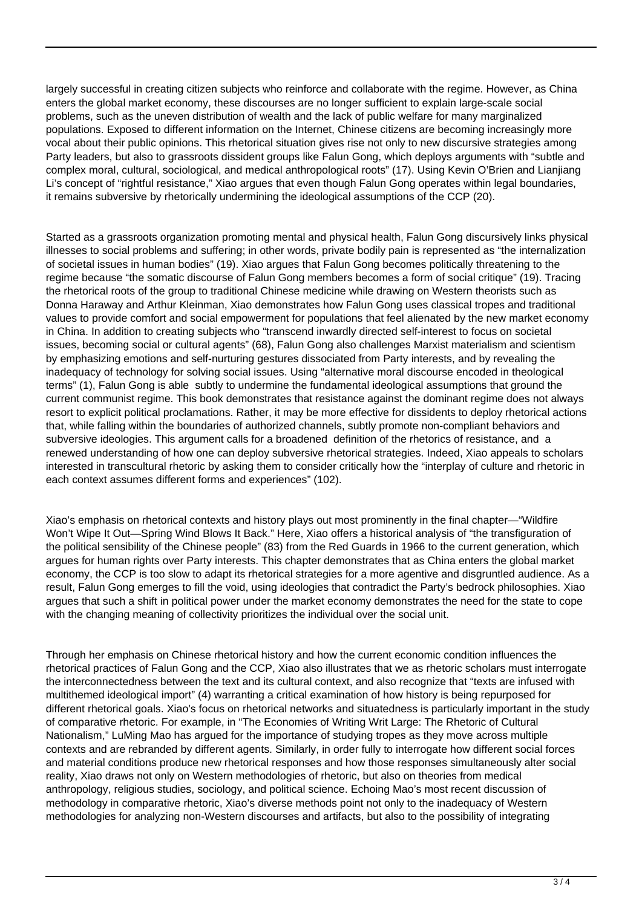largely successful in creating citizen subjects who reinforce and collaborate with the regime. However, as China enters the global market economy, these discourses are no longer sufficient to explain large-scale social problems, such as the uneven distribution of wealth and the lack of public welfare for many marginalized populations. Exposed to different information on the Internet, Chinese citizens are becoming increasingly more vocal about their public opinions. This rhetorical situation gives rise not only to new discursive strategies among Party leaders, but also to grassroots dissident groups like Falun Gong, which deploys arguments with "subtle and complex moral, cultural, sociological, and medical anthropological roots" (17). Using Kevin O'Brien and Lianjiang Li's concept of "rightful resistance," Xiao argues that even though Falun Gong operates within legal boundaries, it remains subversive by rhetorically undermining the ideological assumptions of the CCP (20).

Started as a grassroots organization promoting mental and physical health, Falun Gong discursively links physical illnesses to social problems and suffering; in other words, private bodily pain is represented as "the internalization of societal issues in human bodies" (19). Xiao argues that Falun Gong becomes politically threatening to the regime because "the somatic discourse of Falun Gong members becomes a form of social critique" (19). Tracing the rhetorical roots of the group to traditional Chinese medicine while drawing on Western theorists such as Donna Haraway and Arthur Kleinman, Xiao demonstrates how Falun Gong uses classical tropes and traditional values to provide comfort and social empowerment for populations that feel alienated by the new market economy in China. In addition to creating subjects who "transcend inwardly directed self-interest to focus on societal issues, becoming social or cultural agents" (68), Falun Gong also challenges Marxist materialism and scientism by emphasizing emotions and self-nurturing gestures dissociated from Party interests, and by revealing the inadequacy of technology for solving social issues. Using "alternative moral discourse encoded in theological terms" (1), Falun Gong is able subtly to undermine the fundamental ideological assumptions that ground the current communist regime. This book demonstrates that resistance against the dominant regime does not always resort to explicit political proclamations. Rather, it may be more effective for dissidents to deploy rhetorical actions that, while falling within the boundaries of authorized channels, subtly promote non-compliant behaviors and subversive ideologies. This argument calls for a broadened definition of the rhetorics of resistance, and a renewed understanding of how one can deploy subversive rhetorical strategies. Indeed, Xiao appeals to scholars interested in transcultural rhetoric by asking them to consider critically how the "interplay of culture and rhetoric in each context assumes different forms and experiences" (102).

Xiao's emphasis on rhetorical contexts and history plays out most prominently in the final chapter—"Wildfire Won't Wipe It Out—Spring Wind Blows It Back." Here, Xiao offers a historical analysis of "the transfiguration of the political sensibility of the Chinese people" (83) from the Red Guards in 1966 to the current generation, which argues for human rights over Party interests. This chapter demonstrates that as China enters the global market economy, the CCP is too slow to adapt its rhetorical strategies for a more agentive and disgruntled audience. As a result, Falun Gong emerges to fill the void, using ideologies that contradict the Party's bedrock philosophies. Xiao argues that such a shift in political power under the market economy demonstrates the need for the state to cope with the changing meaning of collectivity prioritizes the individual over the social unit.

Through her emphasis on Chinese rhetorical history and how the current economic condition influences the rhetorical practices of Falun Gong and the CCP, Xiao also illustrates that we as rhetoric scholars must interrogate the interconnectedness between the text and its cultural context, and also recognize that "texts are infused with multithemed ideological import" (4) warranting a critical examination of how history is being repurposed for different rhetorical goals. Xiao's focus on rhetorical networks and situatedness is particularly important in the study of comparative rhetoric. For example, in "The Economies of Writing Writ Large: The Rhetoric of Cultural Nationalism," LuMing Mao has argued for the importance of studying tropes as they move across multiple contexts and are rebranded by different agents. Similarly, in order fully to interrogate how different social forces and material conditions produce new rhetorical responses and how those responses simultaneously alter social reality, Xiao draws not only on Western methodologies of rhetoric, but also on theories from medical anthropology, religious studies, sociology, and political science. Echoing Mao's most recent discussion of methodology in comparative rhetoric, Xiao's diverse methods point not only to the inadequacy of Western methodologies for analyzing non-Western discourses and artifacts, but also to the possibility of integrating